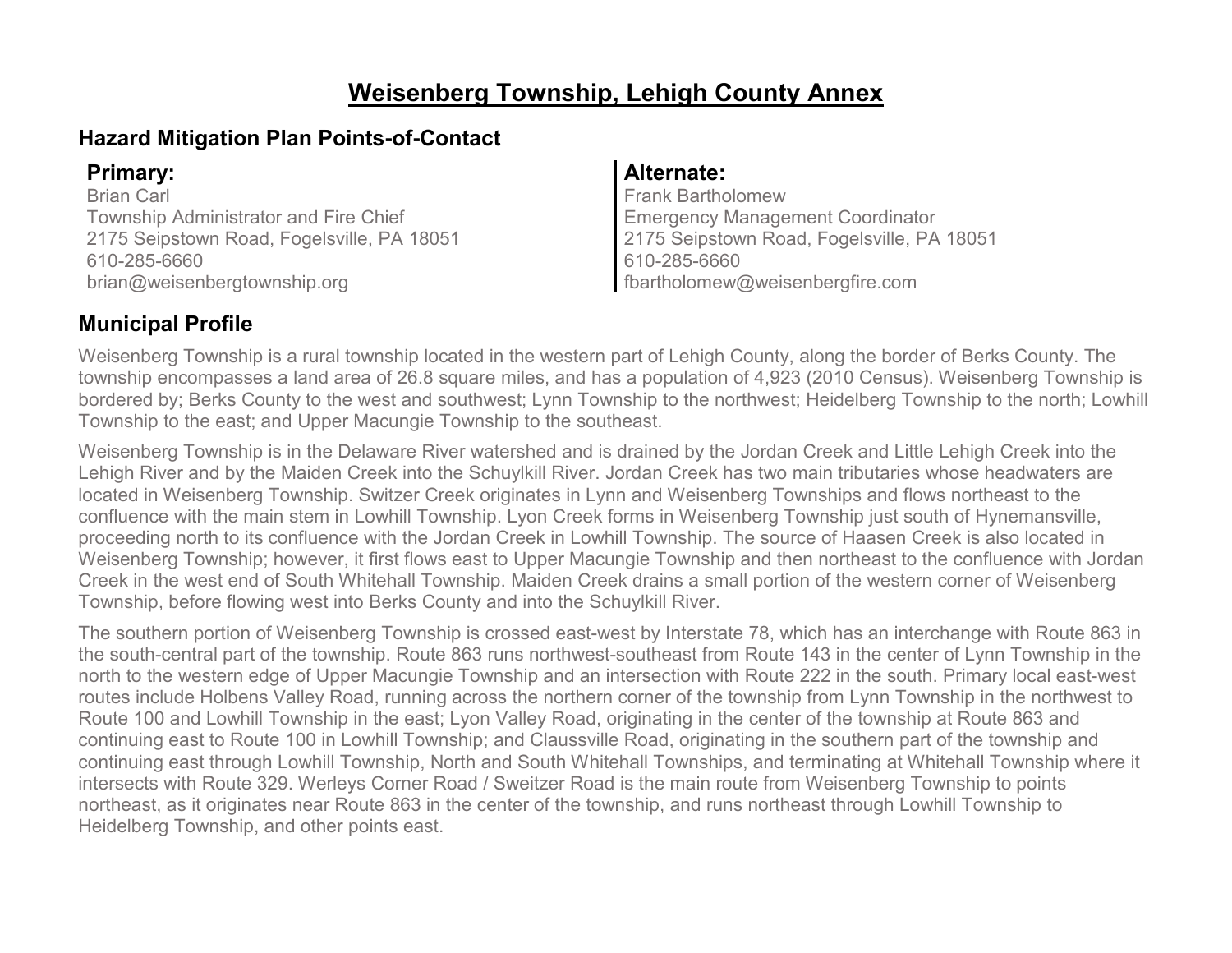# **Weisenberg Township, Lehigh County Annex**

### **Hazard Mitigation Plan Points-of-Contact**

Brian Carl Township Administrator and Fire Chief 2175 Seipstown Road, Fogelsville, PA 18051 610-285-6660 brian@weisenbergtownship.org

### **Primary: Alternate:**

Frank Bartholomew Emergency Management Coordinator 2175 Seipstown Road, Fogelsville, PA 18051 610-285-6660 fbartholomew@weisenbergfire.com

## **Municipal Profile**

Weisenberg Township is a rural township located in the western part of Lehigh County, along the border of Berks County. The township encompasses a land area of 26.8 square miles, and has a population of 4,923 (2010 Census). Weisenberg Township is bordered by; Berks County to the west and southwest; Lynn Township to the northwest; Heidelberg Township to the north; Lowhill Township to the east; and Upper Macungie Township to the southeast.

Weisenberg Township is in the Delaware River watershed and is drained by the Jordan Creek and Little Lehigh Creek into the Lehigh River and by the Maiden Creek into the Schuylkill River. Jordan Creek has two main tributaries whose headwaters are located in Weisenberg Township. Switzer Creek originates in Lynn and Weisenberg Townships and flows northeast to the confluence with the main stem in Lowhill Township. Lyon Creek forms in Weisenberg Township just south of Hynemansville, proceeding north to its confluence with the Jordan Creek in Lowhill Township. The source of Haasen Creek is also located in Weisenberg Township; however, it first flows east to Upper Macungie Township and then northeast to the confluence with Jordan Creek in the west end of South Whitehall Township. Maiden Creek drains a small portion of the western corner of Weisenberg Township, before flowing west into Berks County and into the Schuylkill River.

The southern portion of Weisenberg Township is crossed east-west by Interstate 78, which has an interchange with Route 863 in the south-central part of the township. Route 863 runs northwest-southeast from Route 143 in the center of Lynn Township in the north to the western edge of Upper Macungie Township and an intersection with Route 222 in the south. Primary local east-west routes include Holbens Valley Road, running across the northern corner of the township from Lynn Township in the northwest to Route 100 and Lowhill Township in the east; Lyon Valley Road, originating in the center of the township at Route 863 and continuing east to Route 100 in Lowhill Township; and Claussville Road, originating in the southern part of the township and continuing east through Lowhill Township, North and South Whitehall Townships, and terminating at Whitehall Township where it intersects with Route 329. Werleys Corner Road / Sweitzer Road is the main route from Weisenberg Township to points northeast, as it originates near Route 863 in the center of the township, and runs northeast through Lowhill Township to Heidelberg Township, and other points east.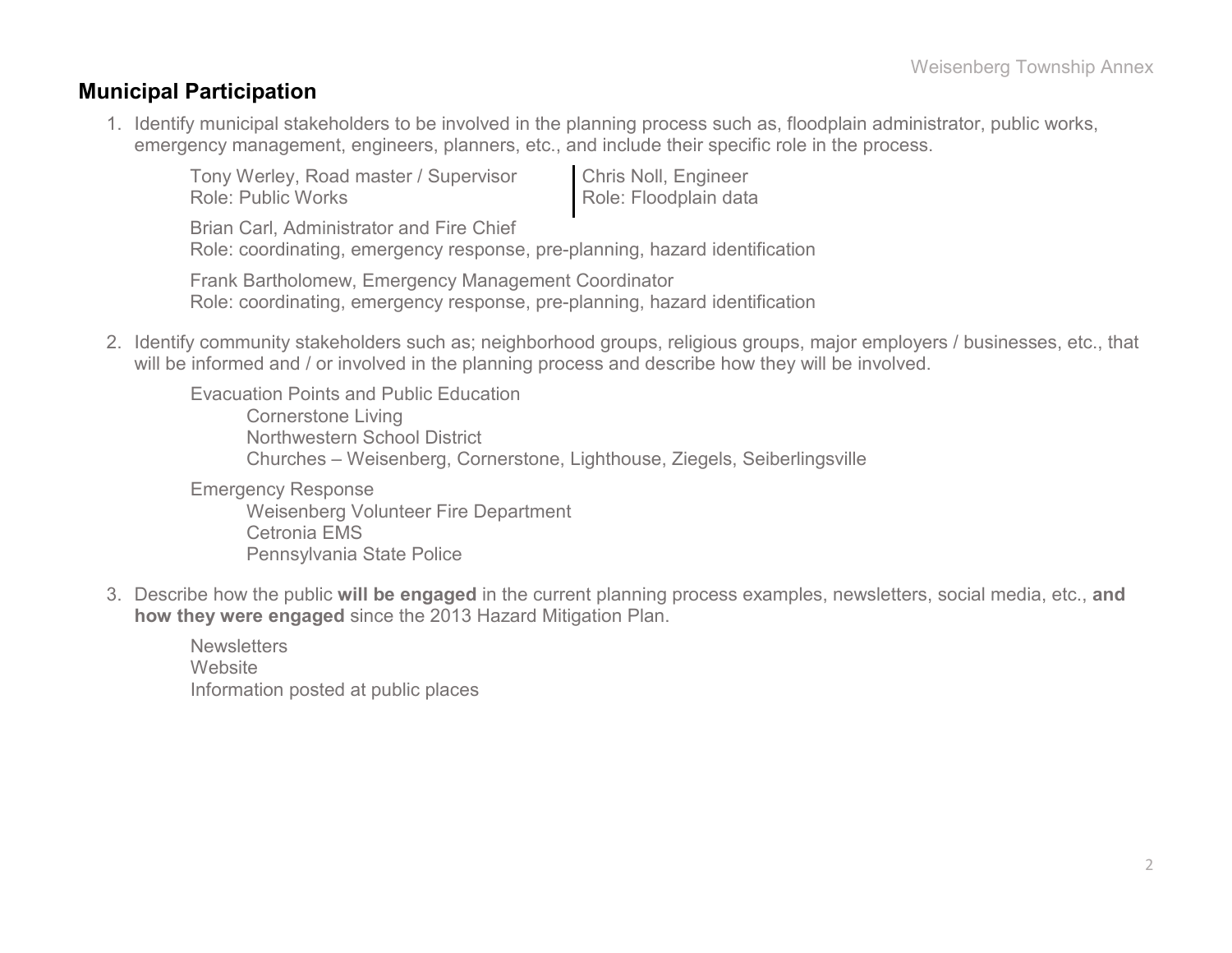### **Municipal Participation**

1. Identify municipal stakeholders to be involved in the planning process such as, floodplain administrator, public works, emergency management, engineers, planners, etc., and include their specific role in the process.

Tony Werley, Road master / Supervisor Role: Public Works

Chris Noll, Engineer Role: Floodplain data

Brian Carl, Administrator and Fire Chief

Role: coordinating, emergency response, pre-planning, hazard identification

Frank Bartholomew, Emergency Management Coordinator Role: coordinating, emergency response, pre-planning, hazard identification

2. Identify community stakeholders such as; neighborhood groups, religious groups, major employers / businesses, etc., that will be informed and / or involved in the planning process and describe how they will be involved.

Evacuation Points and Public Education Cornerstone Living Northwestern School District Churches – Weisenberg, Cornerstone, Lighthouse, Ziegels, Seiberlingsville Emergency Response

Weisenberg Volunteer Fire Department Cetronia EMS Pennsylvania State Police

3. Describe how the public **will be engaged** in the current planning process examples, newsletters, social media, etc., **and how they were engaged** since the 2013 Hazard Mitigation Plan.

**Newsletters Website** Information posted at public places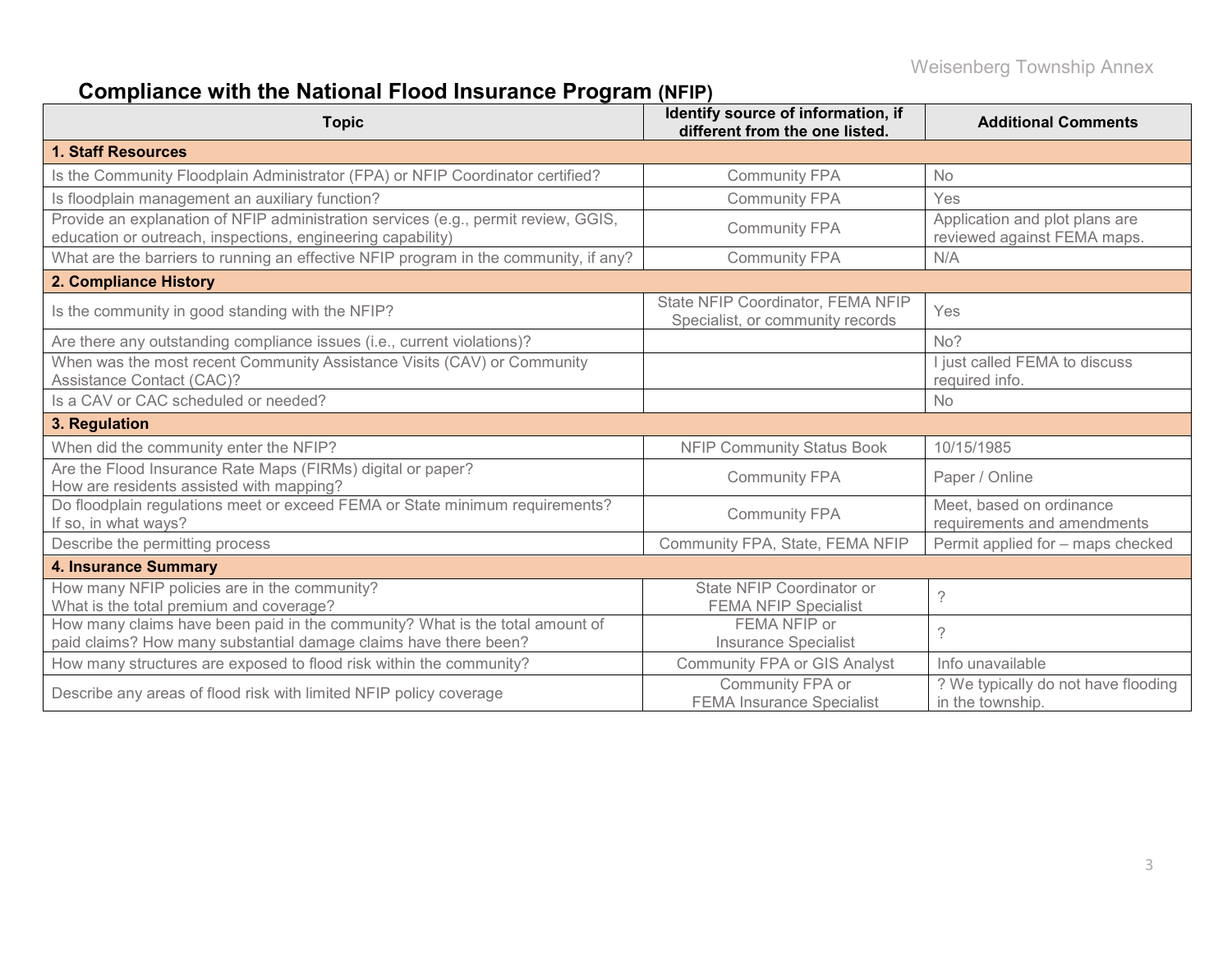# **Compliance with the National Flood Insurance Program (NFIP)**

| <b>Topic</b>                                                                                                                                      | Identify source of information, if<br>different from the one listed.  | <b>Additional Comments</b>                                    |
|---------------------------------------------------------------------------------------------------------------------------------------------------|-----------------------------------------------------------------------|---------------------------------------------------------------|
| <b>1. Staff Resources</b>                                                                                                                         |                                                                       |                                                               |
| Is the Community Floodplain Administrator (FPA) or NFIP Coordinator certified?                                                                    | <b>Community FPA</b>                                                  | <b>No</b>                                                     |
| Is floodplain management an auxiliary function?                                                                                                   | <b>Community FPA</b>                                                  | Yes                                                           |
| Provide an explanation of NFIP administration services (e.g., permit review, GGIS,<br>education or outreach, inspections, engineering capability) | <b>Community FPA</b>                                                  | Application and plot plans are<br>reviewed against FEMA maps. |
| What are the barriers to running an effective NFIP program in the community, if any?                                                              | <b>Community FPA</b>                                                  | N/A                                                           |
| 2. Compliance History                                                                                                                             |                                                                       |                                                               |
| Is the community in good standing with the NFIP?                                                                                                  | State NFIP Coordinator, FEMA NFIP<br>Specialist, or community records | Yes                                                           |
| Are there any outstanding compliance issues (i.e., current violations)?                                                                           |                                                                       | No?                                                           |
| When was the most recent Community Assistance Visits (CAV) or Community<br><b>Assistance Contact (CAC)?</b>                                       |                                                                       | I just called FEMA to discuss<br>required info.               |
| Is a CAV or CAC scheduled or needed?                                                                                                              |                                                                       | <b>No</b>                                                     |
| 3. Regulation                                                                                                                                     |                                                                       |                                                               |
| When did the community enter the NFIP?                                                                                                            | <b>NFIP Community Status Book</b>                                     | 10/15/1985                                                    |
| Are the Flood Insurance Rate Maps (FIRMs) digital or paper?<br>How are residents assisted with mapping?                                           | <b>Community FPA</b>                                                  | Paper / Online                                                |
| Do floodplain regulations meet or exceed FEMA or State minimum requirements?<br>If so, in what ways?                                              | <b>Community FPA</b>                                                  | Meet, based on ordinance<br>requirements and amendments       |
| Describe the permitting process                                                                                                                   | Community FPA, State, FEMA NFIP                                       | Permit applied for - maps checked                             |
| <b>4. Insurance Summary</b>                                                                                                                       |                                                                       |                                                               |
| How many NFIP policies are in the community?<br>What is the total premium and coverage?                                                           | State NFIP Coordinator or<br><b>FEMA NFIP Specialist</b>              | $\gamma$                                                      |
| How many claims have been paid in the community? What is the total amount of<br>paid claims? How many substantial damage claims have there been?  | FEMA NFIP or<br><b>Insurance Specialist</b>                           | $\mathcal{P}$                                                 |
| How many structures are exposed to flood risk within the community?                                                                               | <b>Community FPA or GIS Analyst</b>                                   | Info unavailable                                              |
| Describe any areas of flood risk with limited NFIP policy coverage                                                                                | Community FPA or<br><b>FEMA Insurance Specialist</b>                  | ? We typically do not have flooding<br>in the township.       |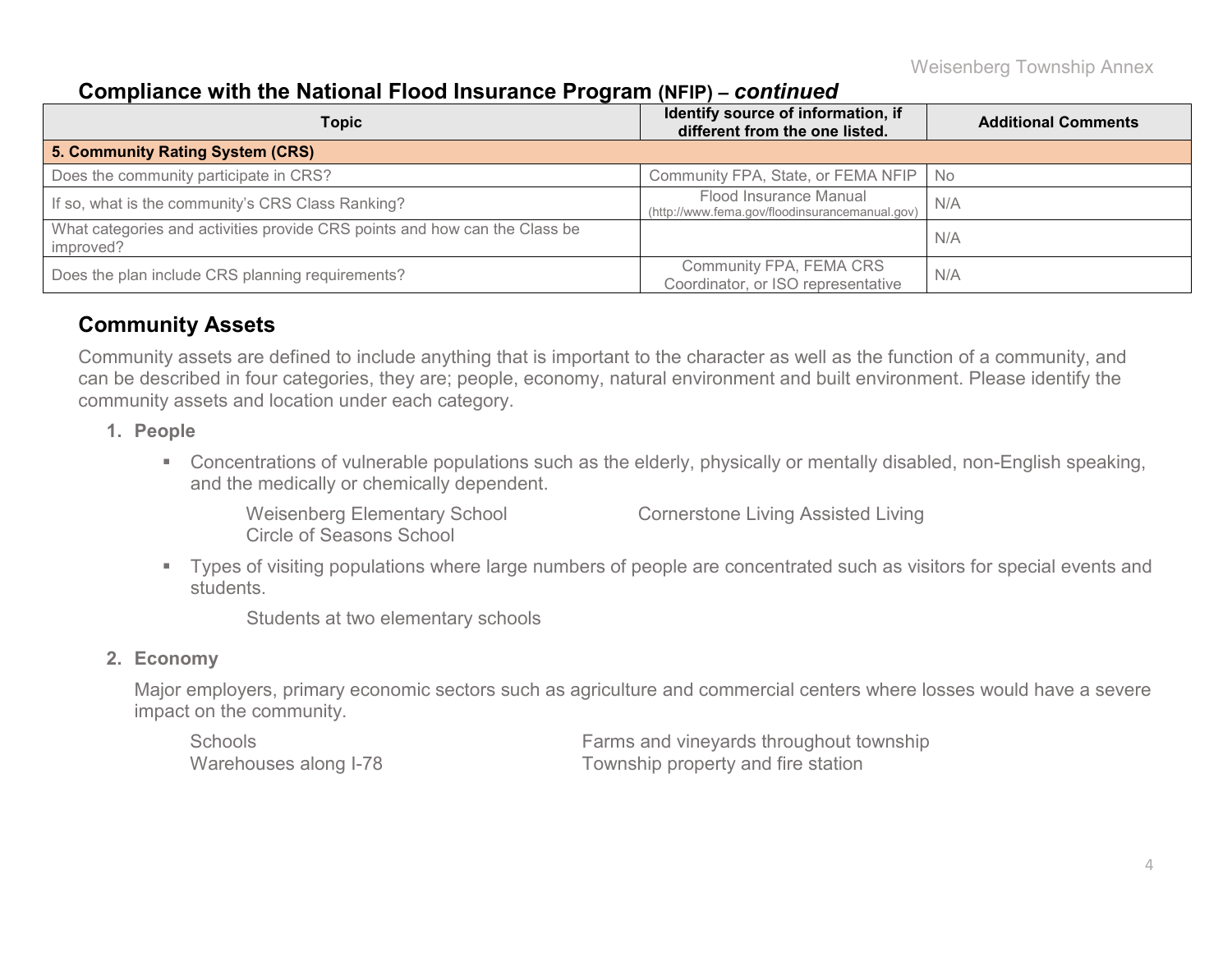### **Compliance with the National Flood Insurance Program (NFIP) –** *continued*

| <b>Topic</b>                                                                            | Identify source of information, if<br>different from the one listed.     | <b>Additional Comments</b> |  |
|-----------------------------------------------------------------------------------------|--------------------------------------------------------------------------|----------------------------|--|
| 5. Community Rating System (CRS)                                                        |                                                                          |                            |  |
| Does the community participate in CRS?                                                  | Community FPA, State, or FEMA NFIP   No                                  |                            |  |
| If so, what is the community's CRS Class Ranking?                                       | Flood Insurance Manual<br>(http://www.fema.gov/floodinsurancemanual.gov) | N/A                        |  |
| What categories and activities provide CRS points and how can the Class be<br>improved? |                                                                          | N/A                        |  |
| Does the plan include CRS planning requirements?                                        | Community FPA, FEMA CRS<br>Coordinator, or ISO representative            | N/A                        |  |

### **Community Assets**

Community assets are defined to include anything that is important to the character as well as the function of a community, and can be described in four categories, they are; people, economy, natural environment and built environment. Please identify the community assets and location under each category.

#### **1. People**

 Concentrations of vulnerable populations such as the elderly, physically or mentally disabled, non-English speaking, and the medically or chemically dependent.

Circle of Seasons School

Weisenberg Elementary School Cornerstone Living Assisted Living

 Types of visiting populations where large numbers of people are concentrated such as visitors for special events and students.

Students at two elementary schools

#### **2. Economy**

Major employers, primary economic sectors such as agriculture and commercial centers where losses would have a severe impact on the community.

Schools Farms and vineyards throughout township Township property and fire station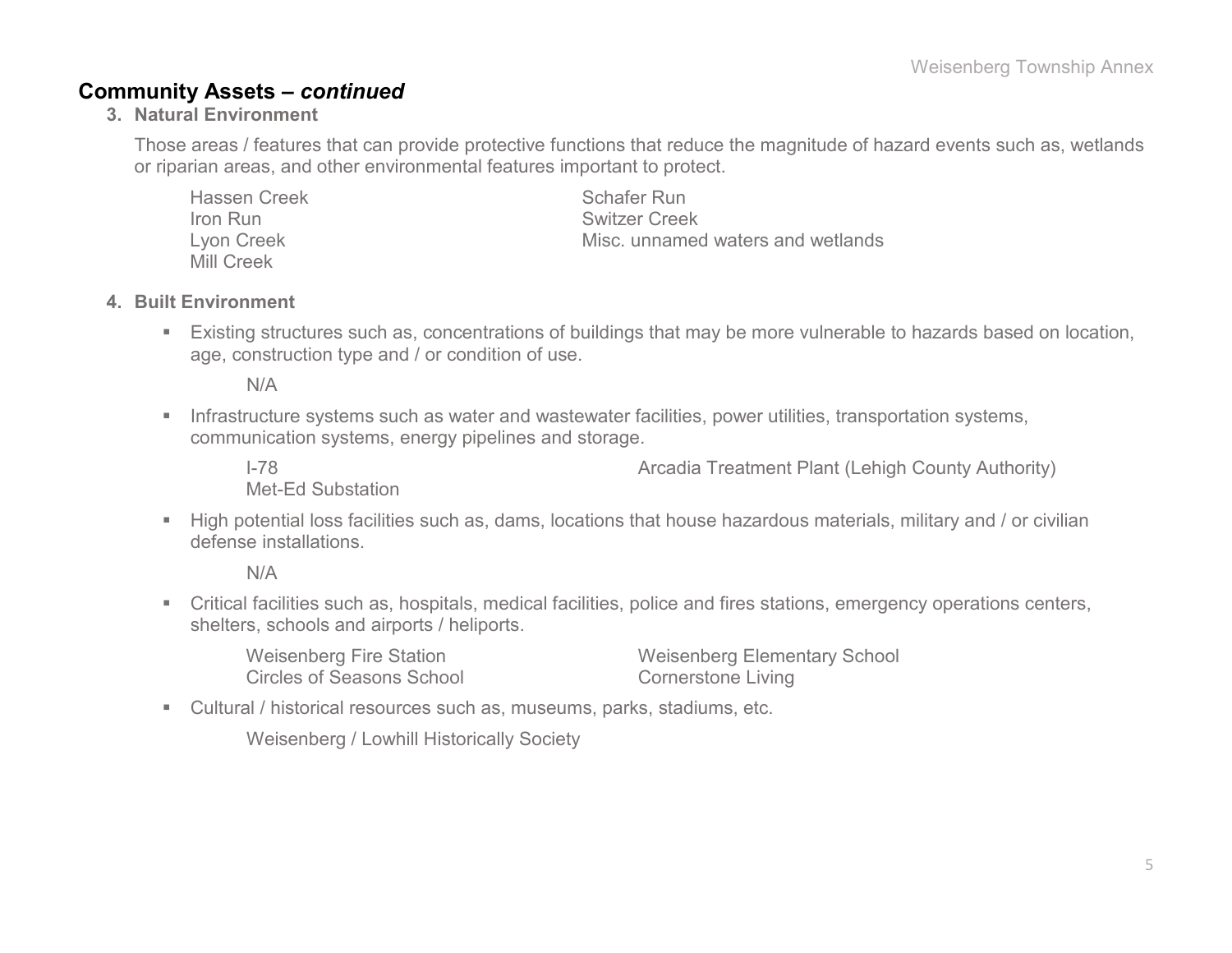### **Community Assets –** *continued*

**3. Natural Environment**

Those areas / features that can provide protective functions that reduce the magnitude of hazard events such as, wetlands or riparian areas, and other environmental features important to protect.

| <b>Hassen Creek</b> | Schafer Run                       |
|---------------------|-----------------------------------|
| Iron Run            | <b>Switzer Creek</b>              |
| Lyon Creek          | Misc, unnamed waters and wetlands |
| <b>Mill Creek</b>   |                                   |

### **4. Built Environment**

 Existing structures such as, concentrations of buildings that may be more vulnerable to hazards based on location, age, construction type and / or condition of use.

N/A

**Infrastructure systems such as water and wastewater facilities, power utilities, transportation systems,** communication systems, energy pipelines and storage.

I-78 **I-78 Arcadia Treatment Plant (Lehigh County Authority)** 

Met-Ed Substation

 High potential loss facilities such as, dams, locations that house hazardous materials, military and / or civilian defense installations.

N/A

 Critical facilities such as, hospitals, medical facilities, police and fires stations, emergency operations centers, shelters, schools and airports / heliports.

| Weisenberg Fire Station          | <b>Weisenberg Elementary School</b> |
|----------------------------------|-------------------------------------|
| <b>Circles of Seasons School</b> | <b>Cornerstone Living</b>           |

Cultural / historical resources such as, museums, parks, stadiums, etc.

Weisenberg / Lowhill Historically Society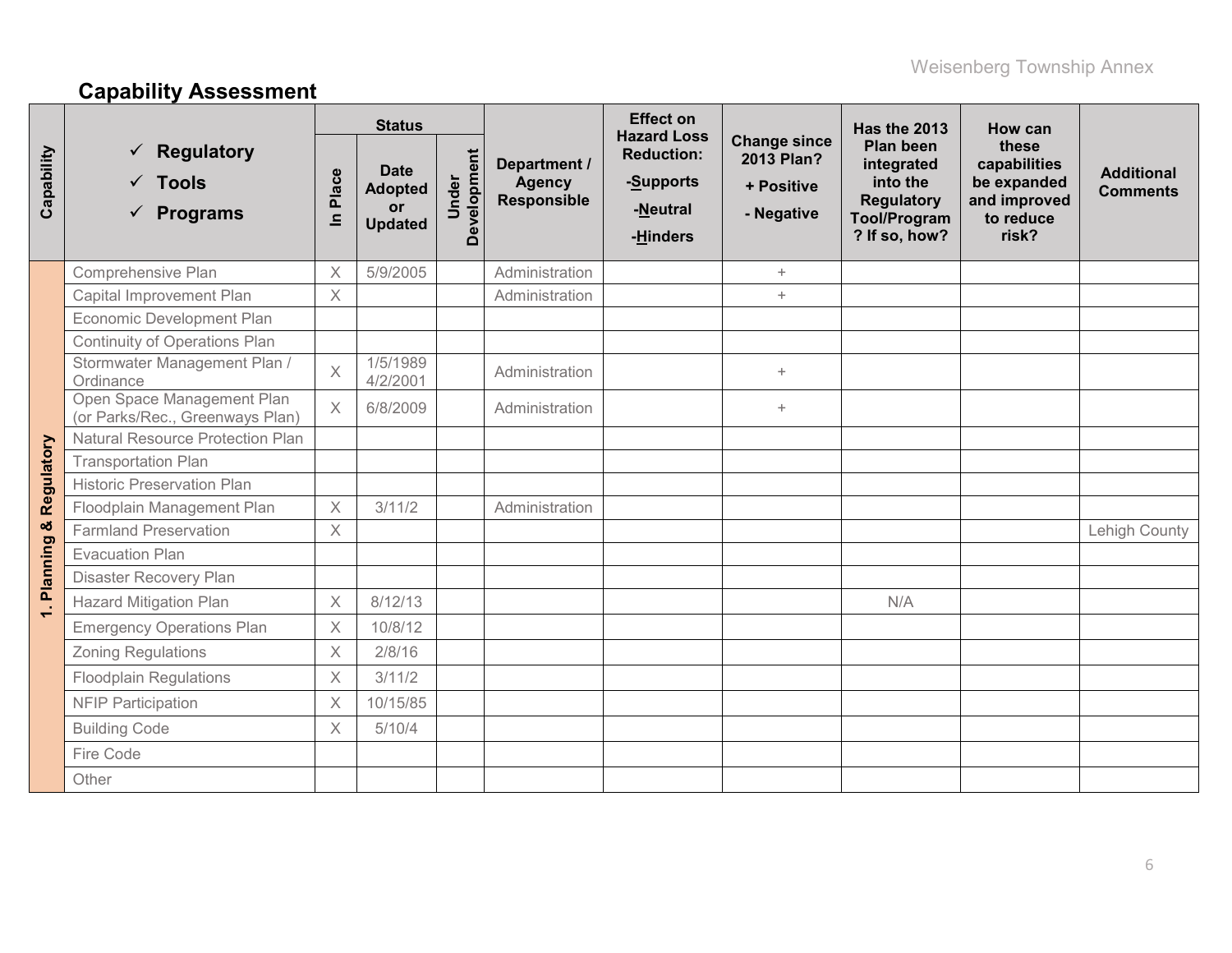# **Capability Assessment**

|                      |                                                                            |                         | <b>Status</b>                                         |                      |                                                     | <b>Effect on</b><br><b>Hazard Loss</b>                 |                                                               | Has the 2013                                                                                            | How can                                                                    |                                      |
|----------------------|----------------------------------------------------------------------------|-------------------------|-------------------------------------------------------|----------------------|-----------------------------------------------------|--------------------------------------------------------|---------------------------------------------------------------|---------------------------------------------------------------------------------------------------------|----------------------------------------------------------------------------|--------------------------------------|
| Capability           | <b>Regulatory</b><br>$\checkmark$ Tools<br><b>Programs</b><br>$\checkmark$ | Place<br>$\overline{=}$ | <b>Date</b><br><b>Adopted</b><br>or<br><b>Updated</b> | Development<br>Under | Department /<br><b>Agency</b><br><b>Responsible</b> | <b>Reduction:</b><br>-Supports<br>-Neutral<br>-Hinders | <b>Change since</b><br>2013 Plan?<br>+ Positive<br>- Negative | <b>Plan been</b><br>integrated<br>into the<br><b>Regulatory</b><br><b>Tool/Program</b><br>? If so, how? | these<br>capabilities<br>be expanded<br>and improved<br>to reduce<br>risk? | <b>Additional</b><br><b>Comments</b> |
|                      | Comprehensive Plan                                                         | $\mathsf X$             | 5/9/2005                                              |                      | Administration                                      |                                                        | $+$                                                           |                                                                                                         |                                                                            |                                      |
|                      | Capital Improvement Plan                                                   | $\times$                |                                                       |                      | Administration                                      |                                                        | $+$                                                           |                                                                                                         |                                                                            |                                      |
|                      | Economic Development Plan                                                  |                         |                                                       |                      |                                                     |                                                        |                                                               |                                                                                                         |                                                                            |                                      |
|                      | <b>Continuity of Operations Plan</b>                                       |                         |                                                       |                      |                                                     |                                                        |                                                               |                                                                                                         |                                                                            |                                      |
|                      | Stormwater Management Plan /<br>Ordinance                                  | $\overline{X}$          | 1/5/1989<br>4/2/2001                                  |                      | Administration                                      |                                                        | $+$                                                           |                                                                                                         |                                                                            |                                      |
|                      | Open Space Management Plan<br>(or Parks/Rec., Greenways Plan)              | $\times$                | 6/8/2009                                              |                      | Administration                                      |                                                        | $+$                                                           |                                                                                                         |                                                                            |                                      |
|                      | <b>Natural Resource Protection Plan</b>                                    |                         |                                                       |                      |                                                     |                                                        |                                                               |                                                                                                         |                                                                            |                                      |
| Regulatory           | <b>Transportation Plan</b>                                                 |                         |                                                       |                      |                                                     |                                                        |                                                               |                                                                                                         |                                                                            |                                      |
|                      | <b>Historic Preservation Plan</b>                                          |                         |                                                       |                      |                                                     |                                                        |                                                               |                                                                                                         |                                                                            |                                      |
|                      | Floodplain Management Plan                                                 | $\overline{\mathsf{X}}$ | 3/11/2                                                |                      | Administration                                      |                                                        |                                                               |                                                                                                         |                                                                            |                                      |
|                      | <b>Farmland Preservation</b>                                               | $\times$                |                                                       |                      |                                                     |                                                        |                                                               |                                                                                                         |                                                                            | Lehigh County                        |
| Planning &           | <b>Evacuation Plan</b>                                                     |                         |                                                       |                      |                                                     |                                                        |                                                               |                                                                                                         |                                                                            |                                      |
|                      | Disaster Recovery Plan                                                     |                         |                                                       |                      |                                                     |                                                        |                                                               |                                                                                                         |                                                                            |                                      |
| $\ddot{\phantom{0}}$ | <b>Hazard Mitigation Plan</b>                                              | $\mathsf X$             | 8/12/13                                               |                      |                                                     |                                                        |                                                               | N/A                                                                                                     |                                                                            |                                      |
|                      | <b>Emergency Operations Plan</b>                                           | $\times$                | 10/8/12                                               |                      |                                                     |                                                        |                                                               |                                                                                                         |                                                                            |                                      |
|                      | <b>Zoning Regulations</b>                                                  | $\times$                | 2/8/16                                                |                      |                                                     |                                                        |                                                               |                                                                                                         |                                                                            |                                      |
|                      | <b>Floodplain Regulations</b>                                              | X                       | 3/11/2                                                |                      |                                                     |                                                        |                                                               |                                                                                                         |                                                                            |                                      |
|                      | <b>NFIP Participation</b>                                                  | X                       | 10/15/85                                              |                      |                                                     |                                                        |                                                               |                                                                                                         |                                                                            |                                      |
|                      | <b>Building Code</b>                                                       | X                       | 5/10/4                                                |                      |                                                     |                                                        |                                                               |                                                                                                         |                                                                            |                                      |
|                      | Fire Code                                                                  |                         |                                                       |                      |                                                     |                                                        |                                                               |                                                                                                         |                                                                            |                                      |
|                      | Other                                                                      |                         |                                                       |                      |                                                     |                                                        |                                                               |                                                                                                         |                                                                            |                                      |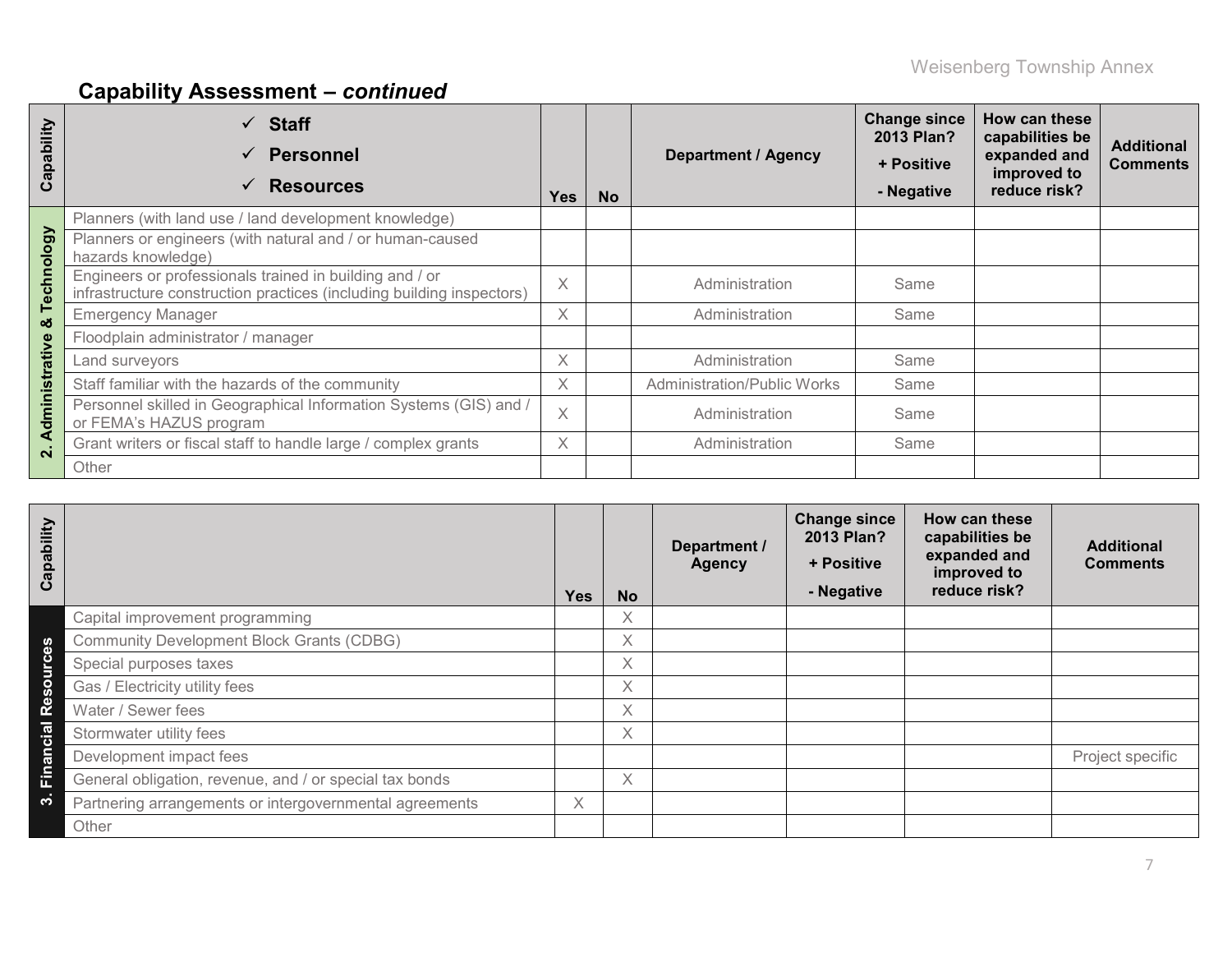# **Capability Assessment –** *continued*

| Capability              | <b>Staff</b><br>$\checkmark$<br><b>Personnel</b><br>$\checkmark$<br><b>Resources</b><br>✓                                        | <b>Yes</b> | <b>No</b> | <b>Department / Agency</b>         | <b>Change since</b><br><b>2013 Plan?</b><br>+ Positive<br>- Negative | How can these<br>capabilities be<br>expanded and<br>improved to<br>reduce risk? | <b>Additional</b><br><b>Comments</b> |
|-------------------------|----------------------------------------------------------------------------------------------------------------------------------|------------|-----------|------------------------------------|----------------------------------------------------------------------|---------------------------------------------------------------------------------|--------------------------------------|
|                         | Planners (with land use / land development knowledge)                                                                            |            |           |                                    |                                                                      |                                                                                 |                                      |
|                         | Planners or engineers (with natural and / or human-caused<br>hazards knowledge)                                                  |            |           |                                    |                                                                      |                                                                                 |                                      |
| echnology               | Engineers or professionals trained in building and / or<br>infrastructure construction practices (including building inspectors) | $\times$   |           | Administration                     | Same                                                                 |                                                                                 |                                      |
| ⊢<br>ೲ                  | <b>Emergency Manager</b>                                                                                                         | X          |           | Administration                     | Same                                                                 |                                                                                 |                                      |
|                         | Floodplain administrator / manager                                                                                               |            |           |                                    |                                                                      |                                                                                 |                                      |
|                         | Land surveyors                                                                                                                   | X          |           | Administration                     | Same                                                                 |                                                                                 |                                      |
|                         | Staff familiar with the hazards of the community                                                                                 | X          |           | <b>Administration/Public Works</b> | Same                                                                 |                                                                                 |                                      |
| dministrative           | Personnel skilled in Geographical Information Systems (GIS) and /<br>or FEMA's HAZUS program                                     |            |           | Administration                     | Same                                                                 |                                                                                 |                                      |
| ⋖<br>$\dot{\mathbf{a}}$ | Grant writers or fiscal staff to handle large / complex grants                                                                   | X          |           | Administration                     | Same                                                                 |                                                                                 |                                      |
|                         | Other                                                                                                                            |            |           |                                    |                                                                      |                                                                                 |                                      |

| Capability         |                                                         | <b>Yes</b> | <b>No</b> | Department /<br><b>Agency</b> | <b>Change since</b><br>2013 Plan?<br>+ Positive<br>- Negative | How can these<br>capabilities be<br>expanded and<br>improved to<br>reduce risk? | <b>Additional</b><br><b>Comments</b> |
|--------------------|---------------------------------------------------------|------------|-----------|-------------------------------|---------------------------------------------------------------|---------------------------------------------------------------------------------|--------------------------------------|
|                    | Capital improvement programming                         |            | Χ         |                               |                                                               |                                                                                 |                                      |
| 8                  | <b>Community Development Block Grants (CDBG)</b>        |            | Χ         |                               |                                                               |                                                                                 |                                      |
|                    | Special purposes taxes                                  |            | Χ         |                               |                                                               |                                                                                 |                                      |
| Resourc            | Gas / Electricity utility fees                          |            | X         |                               |                                                               |                                                                                 |                                      |
|                    | Water / Sewer fees                                      |            | Χ         |                               |                                                               |                                                                                 |                                      |
|                    | Stormwater utility fees                                 |            | Χ         |                               |                                                               |                                                                                 |                                      |
| Financial          | Development impact fees                                 |            |           |                               |                                                               |                                                                                 | Project specific                     |
|                    | General obligation, revenue, and / or special tax bonds |            | Χ         |                               |                                                               |                                                                                 |                                      |
| $\dot{\mathbf{c}}$ | Partnering arrangements or intergovernmental agreements | X          |           |                               |                                                               |                                                                                 |                                      |
|                    | Other                                                   |            |           |                               |                                                               |                                                                                 |                                      |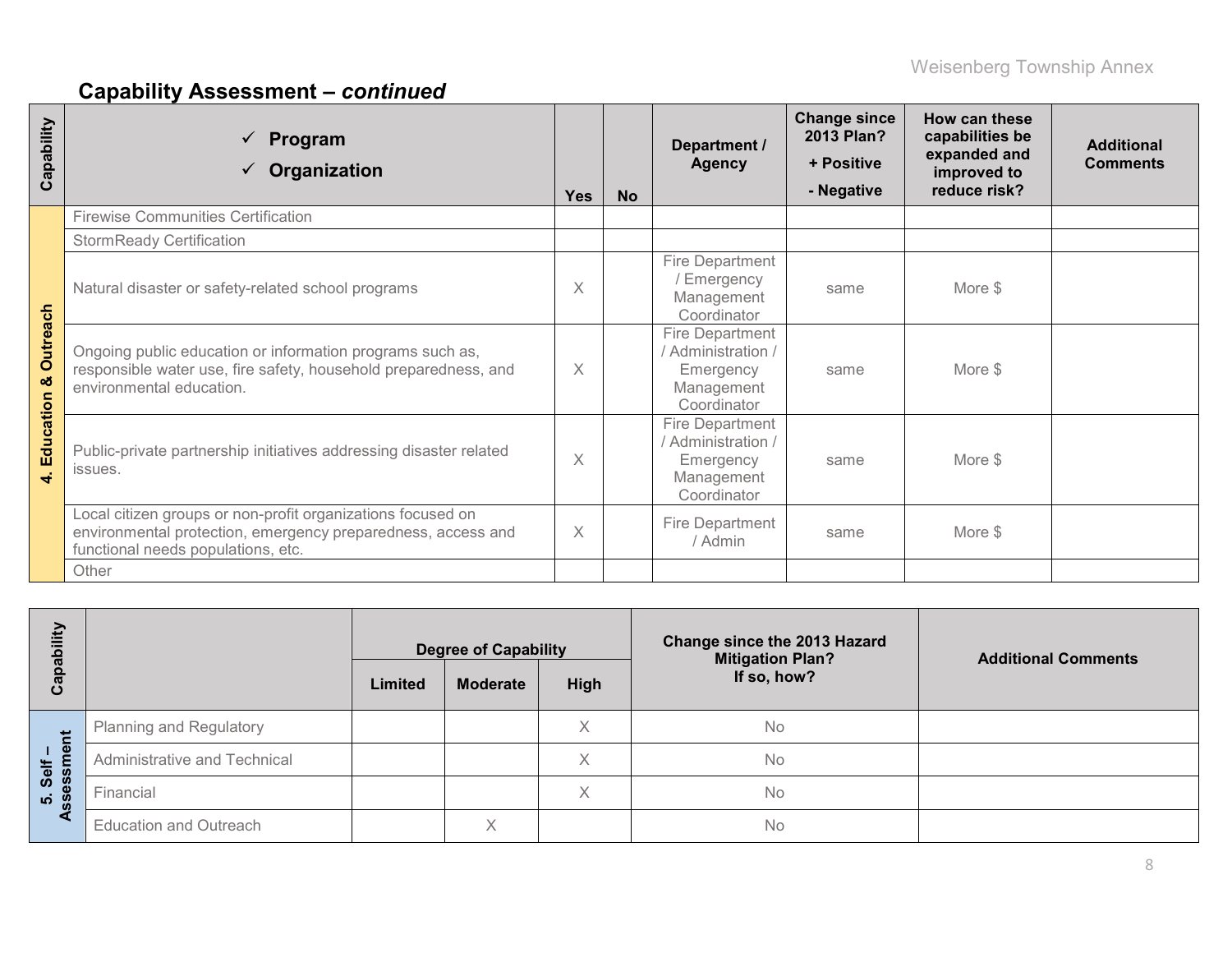# **Capability Assessment –** *continued*

| Capability                             | Program<br>$\checkmark$<br>Organization                                                                                                                           | <b>Yes</b> | <b>No</b> | Department /<br><b>Agency</b>                                                          | <b>Change since</b><br>2013 Plan?<br>+ Positive<br>- Negative | How can these<br>capabilities be<br>expanded and<br>improved to<br>reduce risk? | <b>Additional</b><br><b>Comments</b> |
|----------------------------------------|-------------------------------------------------------------------------------------------------------------------------------------------------------------------|------------|-----------|----------------------------------------------------------------------------------------|---------------------------------------------------------------|---------------------------------------------------------------------------------|--------------------------------------|
|                                        | <b>Firewise Communities Certification</b>                                                                                                                         |            |           |                                                                                        |                                                               |                                                                                 |                                      |
|                                        | <b>StormReady Certification</b>                                                                                                                                   |            |           |                                                                                        |                                                               |                                                                                 |                                      |
| <b>Outreach</b><br>ಯ<br>Education<br>4 | Natural disaster or safety-related school programs                                                                                                                |            |           | Fire Department<br>/ Emergency<br>Management<br>Coordinator                            | same                                                          | More \$                                                                         |                                      |
|                                        | Ongoing public education or information programs such as,<br>responsible water use, fire safety, household preparedness, and<br>environmental education.          | $\times$   |           | <b>Fire Department</b><br>/ Administration /<br>Emergency<br>Management<br>Coordinator | same                                                          | More \$                                                                         |                                      |
|                                        | Public-private partnership initiatives addressing disaster related<br>issues.                                                                                     |            |           | <b>Fire Department</b><br>/ Administration /<br>Emergency<br>Management<br>Coordinator | same                                                          | More \$                                                                         |                                      |
|                                        | Local citizen groups or non-profit organizations focused on<br>environmental protection, emergency preparedness, access and<br>functional needs populations, etc. |            |           | Fire Department<br>/ Admin                                                             | same                                                          | More \$                                                                         |                                      |
|                                        | Other                                                                                                                                                             |            |           |                                                                                        |                                                               |                                                                                 |                                      |

| ξĪ                             |                                | <b>Degree of Capability</b> |                 |             | Change since the 2013 Hazard<br><b>Mitigation Plan?</b> | <b>Additional Comments</b> |  |
|--------------------------------|--------------------------------|-----------------------------|-----------------|-------------|---------------------------------------------------------|----------------------------|--|
| යි                             |                                | Limited                     | <b>Moderate</b> | <b>High</b> | If so, how?                                             |                            |  |
| だ                              | <b>Planning and Regulatory</b> |                             |                 | Χ           | No                                                      |                            |  |
| ு<br>生                         | Administrative and Technical   |                             |                 | X           | No                                                      |                            |  |
| $\overline{8}$<br>Ŵ<br>က် ဖွဲ့ | Financial                      |                             |                 | X           | No                                                      |                            |  |
|                                | <b>Education and Outreach</b>  |                             | Χ               |             | No                                                      |                            |  |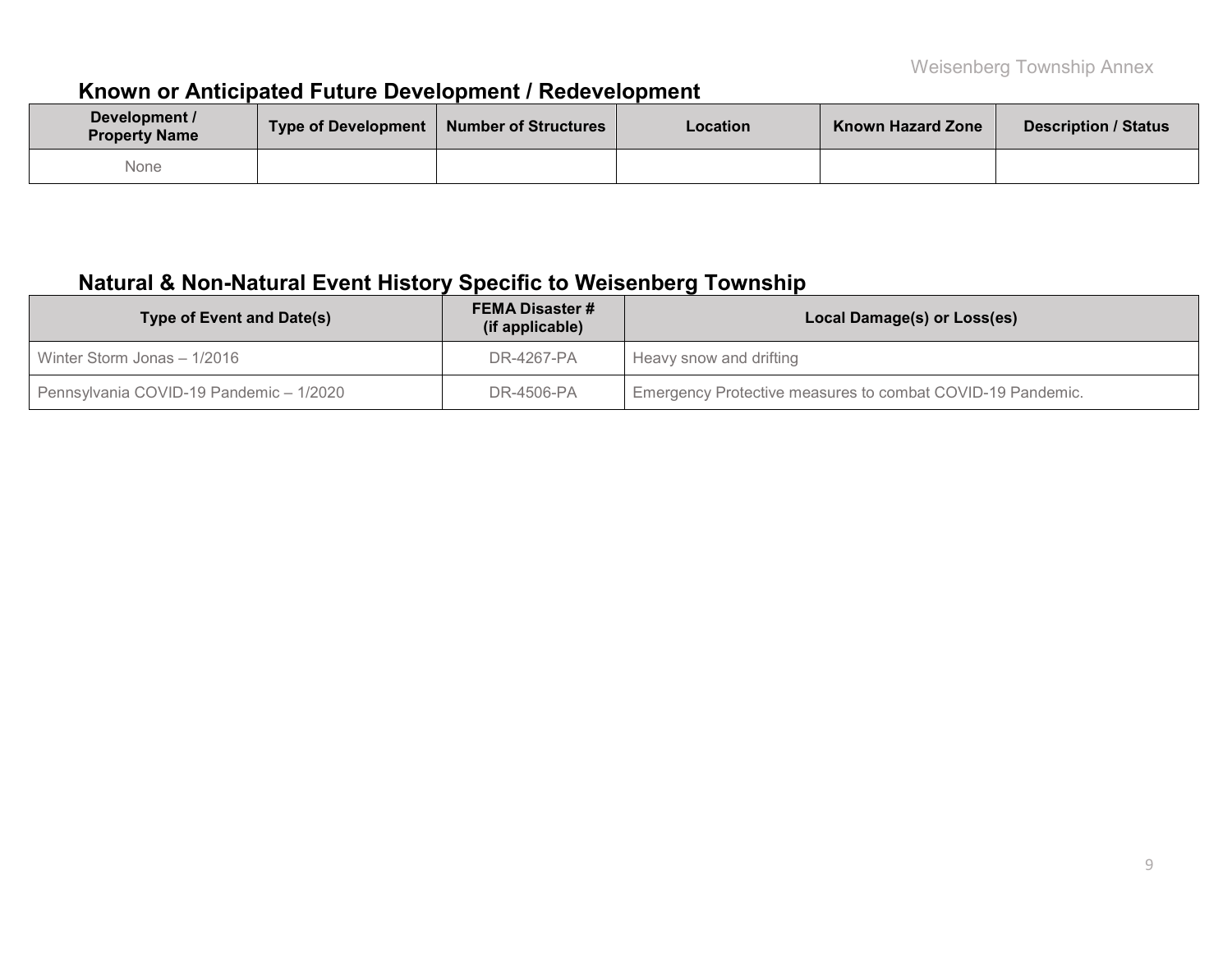# **Known or Anticipated Future Development / Redevelopment**

| Development /<br><b>Property Name</b> | Type of Development   Number of Structures | <b>Location</b> | <b>Known Hazard Zone</b> | <b>Description / Status</b> |
|---------------------------------------|--------------------------------------------|-----------------|--------------------------|-----------------------------|
| None                                  |                                            |                 |                          |                             |

# **Natural & Non-Natural Event History Specific to Weisenberg Township**

| <b>Type of Event and Date(s)</b>        | <b>FEMA Disaster #</b><br>(if applicable) | Local Damage(s) or Loss(es)                                |  |  |  |  |
|-----------------------------------------|-------------------------------------------|------------------------------------------------------------|--|--|--|--|
| Winter Storm Jonas - 1/2016             | DR-4267-PA                                | Heavy snow and drifting                                    |  |  |  |  |
| Pennsylvania COVID-19 Pandemic - 1/2020 | DR-4506-PA                                | Emergency Protective measures to combat COVID-19 Pandemic. |  |  |  |  |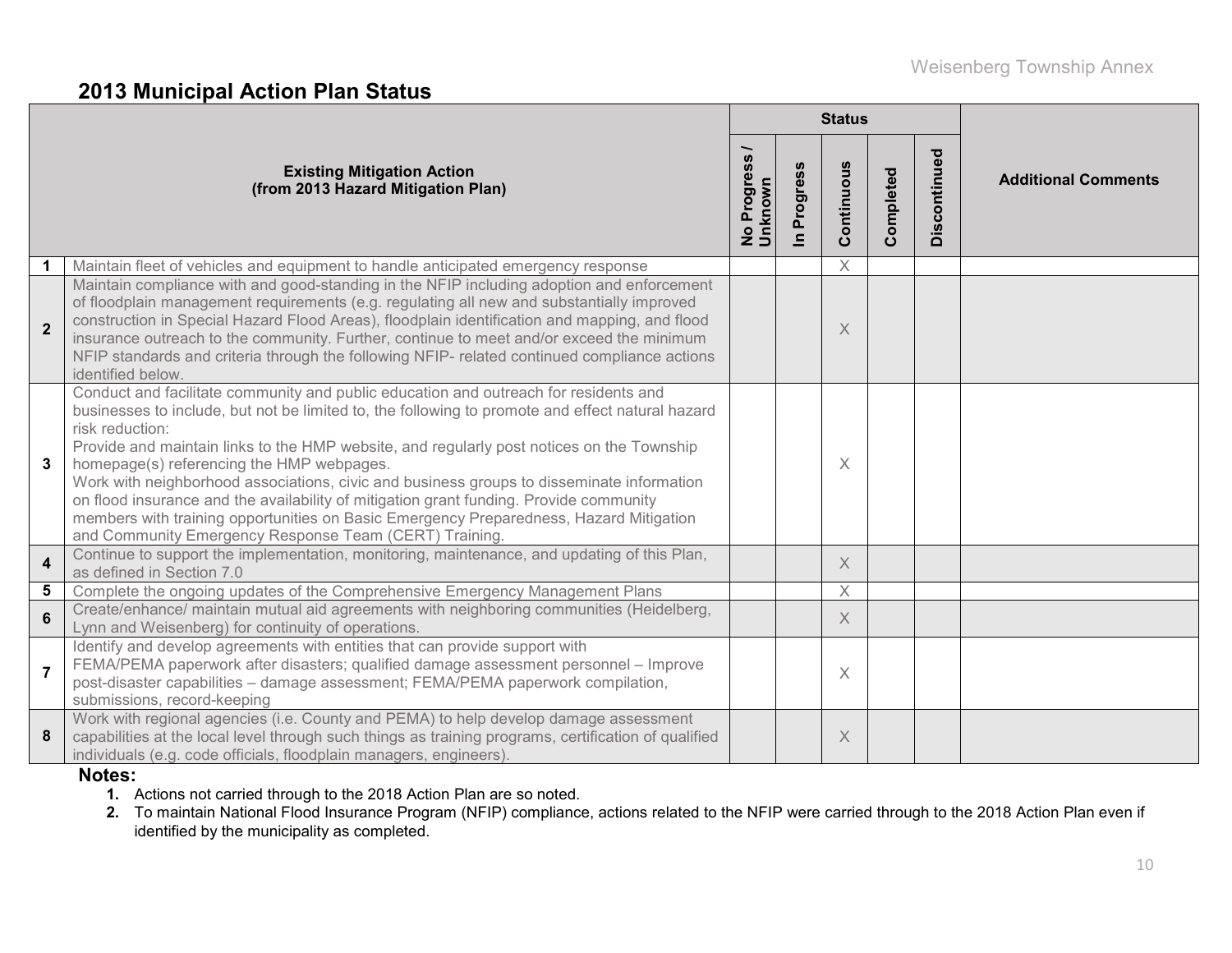### **2013 Municipal Action Plan Status**

|                         |                                                                                                                                                                                                                                                                                                                                                                                                                                                                                                                                                                                                                                                                                                  |                                                      |                          | <b>Status</b> |           |              |                            |
|-------------------------|--------------------------------------------------------------------------------------------------------------------------------------------------------------------------------------------------------------------------------------------------------------------------------------------------------------------------------------------------------------------------------------------------------------------------------------------------------------------------------------------------------------------------------------------------------------------------------------------------------------------------------------------------------------------------------------------------|------------------------------------------------------|--------------------------|---------------|-----------|--------------|----------------------------|
|                         | <b>Existing Mitigation Action</b><br>(from 2013 Hazard Mitigation Plan)                                                                                                                                                                                                                                                                                                                                                                                                                                                                                                                                                                                                                          | $\overline{\phantom{0}}$<br>No Progress /<br>Unknown | Progress<br>$\mathbf{a}$ | Continuous    | Completed | Discontinued | <b>Additional Comments</b> |
|                         | Maintain fleet of vehicles and equipment to handle anticipated emergency response                                                                                                                                                                                                                                                                                                                                                                                                                                                                                                                                                                                                                |                                                      |                          | $\times$      |           |              |                            |
| $\overline{2}$          | Maintain compliance with and good-standing in the NFIP including adoption and enforcement<br>of floodplain management requirements (e.g. regulating all new and substantially improved<br>construction in Special Hazard Flood Areas), floodplain identification and mapping, and flood<br>insurance outreach to the community. Further, continue to meet and/or exceed the minimum<br>NFIP standards and criteria through the following NFIP- related continued compliance actions<br>identified below.                                                                                                                                                                                         |                                                      |                          | X             |           |              |                            |
| 3                       | Conduct and facilitate community and public education and outreach for residents and<br>businesses to include, but not be limited to, the following to promote and effect natural hazard<br>risk reduction:<br>Provide and maintain links to the HMP website, and regularly post notices on the Township<br>homepage(s) referencing the HMP webpages.<br>Work with neighborhood associations, civic and business groups to disseminate information<br>on flood insurance and the availability of mitigation grant funding. Provide community<br>members with training opportunities on Basic Emergency Preparedness, Hazard Mitigation<br>and Community Emergency Response Team (CERT) Training. |                                                      |                          | X             |           |              |                            |
| $\overline{\mathbf{4}}$ | Continue to support the implementation, monitoring, maintenance, and updating of this Plan,<br>as defined in Section 7.0                                                                                                                                                                                                                                                                                                                                                                                                                                                                                                                                                                         |                                                      |                          | $\times$      |           |              |                            |
| 5                       | Complete the ongoing updates of the Comprehensive Emergency Management Plans                                                                                                                                                                                                                                                                                                                                                                                                                                                                                                                                                                                                                     |                                                      |                          | $\times$      |           |              |                            |
| $6\phantom{a}$          | Create/enhance/ maintain mutual aid agreements with neighboring communities (Heidelberg,<br>Lynn and Weisenberg) for continuity of operations.                                                                                                                                                                                                                                                                                                                                                                                                                                                                                                                                                   |                                                      |                          | X             |           |              |                            |
| $\overline{7}$          | Identify and develop agreements with entities that can provide support with<br>FEMA/PEMA paperwork after disasters; qualified damage assessment personnel - Improve<br>post-disaster capabilities - damage assessment; FEMA/PEMA paperwork compilation,<br>submissions, record-keeping                                                                                                                                                                                                                                                                                                                                                                                                           |                                                      |                          | $\times$      |           |              |                            |
| 8                       | Work with regional agencies (i.e. County and PEMA) to help develop damage assessment<br>capabilities at the local level through such things as training programs, certification of qualified<br>individuals (e.g. code officials, floodplain managers, engineers).                                                                                                                                                                                                                                                                                                                                                                                                                               |                                                      |                          | X             |           |              |                            |

#### **Notes:**

- **1.** Actions not carried through to the 2018 Action Plan are so noted.
- **2.** To maintain National Flood Insurance Program (NFIP) compliance, actions related to the NFIP were carried through to the 2018 Action Plan even if identified by the municipality as completed.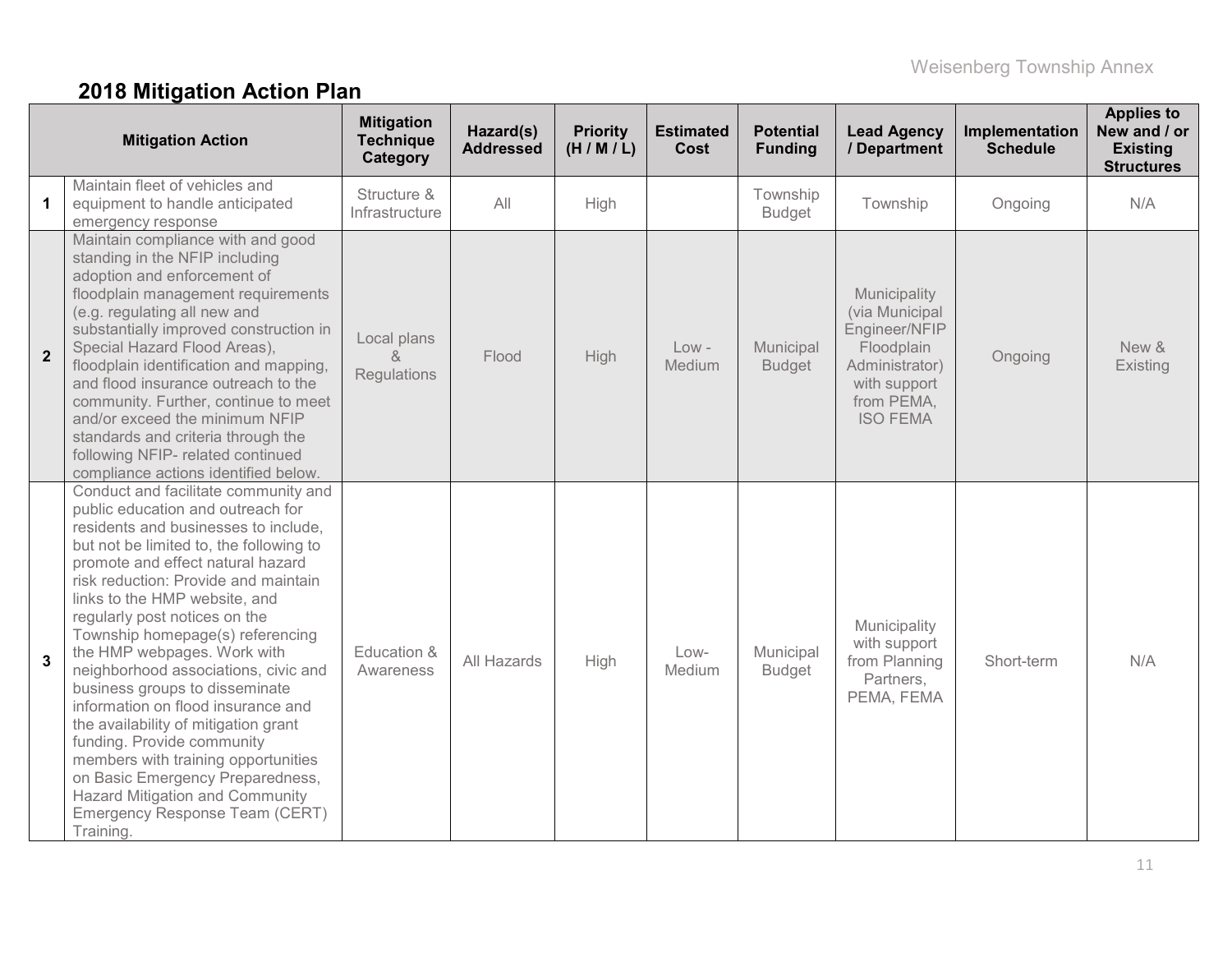# **2018 Mitigation Action Plan**

| <b>Mitigation Action</b> |                                                                                                                                                                                                                                                                                                                                                                                                                                                                                                                                                                                                                                                                                                                                          | <b>Mitigation</b><br><b>Technique</b><br>Category | Hazard(s)<br><b>Addressed</b> | <b>Priority</b><br>(H/M/L) | <b>Estimated</b><br>Cost | <b>Potential</b><br><b>Funding</b> | <b>Lead Agency</b><br>/ Department                                                                                               | Implementation<br><b>Schedule</b> | <b>Applies to</b><br>New and / or<br><b>Existing</b><br><b>Structures</b> |
|--------------------------|------------------------------------------------------------------------------------------------------------------------------------------------------------------------------------------------------------------------------------------------------------------------------------------------------------------------------------------------------------------------------------------------------------------------------------------------------------------------------------------------------------------------------------------------------------------------------------------------------------------------------------------------------------------------------------------------------------------------------------------|---------------------------------------------------|-------------------------------|----------------------------|--------------------------|------------------------------------|----------------------------------------------------------------------------------------------------------------------------------|-----------------------------------|---------------------------------------------------------------------------|
| 1                        | Maintain fleet of vehicles and<br>equipment to handle anticipated<br>emergency response                                                                                                                                                                                                                                                                                                                                                                                                                                                                                                                                                                                                                                                  | Structure &<br>Infrastructure                     | All                           | High                       |                          | Township<br><b>Budget</b>          | Township                                                                                                                         | Ongoing                           | N/A                                                                       |
| $\mathbf{2}$             | Maintain compliance with and good<br>standing in the NFIP including<br>adoption and enforcement of<br>floodplain management requirements<br>(e.g. regulating all new and<br>substantially improved construction in<br>Special Hazard Flood Areas),<br>floodplain identification and mapping,<br>and flood insurance outreach to the<br>community. Further, continue to meet<br>and/or exceed the minimum NFIP<br>standards and criteria through the<br>following NFIP- related continued<br>compliance actions identified below.                                                                                                                                                                                                         | Local plans<br>&<br>Regulations                   | Flood                         | High                       | $Low -$<br>Medium        | Municipal<br><b>Budget</b>         | Municipality<br>(via Municipal<br>Engineer/NFIP<br>Floodplain<br>Administrator)<br>with support<br>from PEMA,<br><b>ISO FEMA</b> | Ongoing                           | New &<br>Existing                                                         |
| 3                        | Conduct and facilitate community and<br>public education and outreach for<br>residents and businesses to include,<br>but not be limited to, the following to<br>promote and effect natural hazard<br>risk reduction: Provide and maintain<br>links to the HMP website, and<br>regularly post notices on the<br>Township homepage(s) referencing<br>the HMP webpages. Work with<br>neighborhood associations, civic and<br>business groups to disseminate<br>information on flood insurance and<br>the availability of mitigation grant<br>funding. Provide community<br>members with training opportunities<br>on Basic Emergency Preparedness,<br><b>Hazard Mitigation and Community</b><br>Emergency Response Team (CERT)<br>Training. | Education &<br>Awareness                          | All Hazards                   | High                       | Low-<br>Medium           | Municipal<br><b>Budget</b>         | Municipality<br>with support<br>from Planning<br>Partners,<br>PEMA, FEMA                                                         | Short-term                        | N/A                                                                       |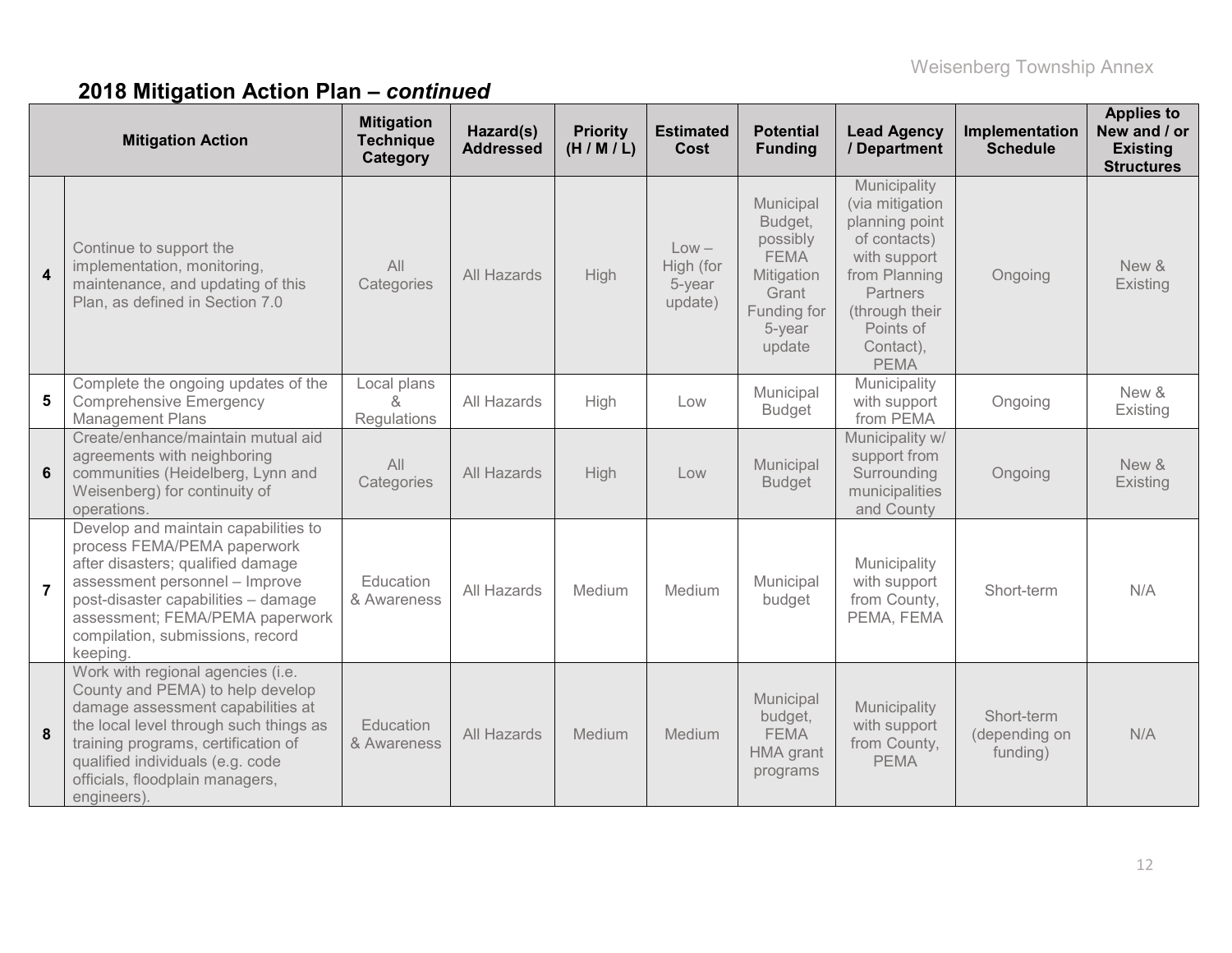# **2018 Mitigation Action Plan –** *continued*

| <b>Mitigation Action</b> |                                                                                                                                                                                                                                                                                   | <b>Mitigation</b><br><b>Technique</b><br>Category | Hazard(s)<br><b>Addressed</b> | <b>Priority</b><br>(H/M/L) | <b>Estimated</b><br>Cost                  | <b>Potential</b><br><b>Funding</b>                                                                        | <b>Lead Agency</b><br>/ Department                                                                                                                                        | Implementation<br><b>Schedule</b>       | <b>Applies to</b><br>New and / or<br><b>Existing</b><br><b>Structures</b> |
|--------------------------|-----------------------------------------------------------------------------------------------------------------------------------------------------------------------------------------------------------------------------------------------------------------------------------|---------------------------------------------------|-------------------------------|----------------------------|-------------------------------------------|-----------------------------------------------------------------------------------------------------------|---------------------------------------------------------------------------------------------------------------------------------------------------------------------------|-----------------------------------------|---------------------------------------------------------------------------|
| $\overline{\mathbf{4}}$  | Continue to support the<br>implementation, monitoring,<br>maintenance, and updating of this<br>Plan, as defined in Section 7.0                                                                                                                                                    | All<br>Categories                                 | All Hazards                   | High                       | $Low -$<br>High (for<br>5-year<br>update) | Municipal<br>Budget,<br>possibly<br><b>FEMA</b><br>Mitigation<br>Grant<br>Funding for<br>5-year<br>update | Municipality<br>(via mitigation<br>planning point<br>of contacts)<br>with support<br>from Planning<br>Partners<br>(through their<br>Points of<br>Contact),<br><b>PEMA</b> | Ongoing                                 | New &<br>Existing                                                         |
| 5                        | Complete the ongoing updates of the<br><b>Comprehensive Emergency</b><br><b>Management Plans</b>                                                                                                                                                                                  | Local plans<br>$\alpha$<br>Regulations            | All Hazards                   | High                       | Low                                       | Municipal<br><b>Budget</b>                                                                                | Municipality<br>with support<br>from PEMA                                                                                                                                 | Ongoing                                 | New &<br>Existing                                                         |
| 6                        | Create/enhance/maintain mutual aid<br>agreements with neighboring<br>communities (Heidelberg, Lynn and<br>Weisenberg) for continuity of<br>operations.                                                                                                                            | All<br>Categories                                 | All Hazards                   | High                       | Low                                       | Municipal<br><b>Budget</b>                                                                                | Municipality w/<br>support from<br>Surrounding<br>municipalities<br>and County                                                                                            | Ongoing                                 | New &<br>Existing                                                         |
| $\overline{7}$           | Develop and maintain capabilities to<br>process FEMA/PEMA paperwork<br>after disasters; qualified damage<br>assessment personnel - Improve<br>post-disaster capabilities - damage<br>assessment; FEMA/PEMA paperwork<br>compilation, submissions, record<br>keeping.              | Education<br>& Awareness                          | All Hazards                   | Medium                     | Medium                                    | Municipal<br>budget                                                                                       | Municipality<br>with support<br>from County,<br>PEMA, FEMA                                                                                                                | Short-term                              | N/A                                                                       |
| 8                        | Work with regional agencies (i.e.<br>County and PEMA) to help develop<br>damage assessment capabilities at<br>the local level through such things as<br>training programs, certification of<br>qualified individuals (e.g. code<br>officials, floodplain managers,<br>engineers). | Education<br>& Awareness                          | All Hazards                   | Medium                     | Medium                                    | Municipal<br>budget,<br><b>FEMA</b><br>HMA grant<br>programs                                              | Municipality<br>with support<br>from County,<br><b>PEMA</b>                                                                                                               | Short-term<br>(depending on<br>funding) | N/A                                                                       |